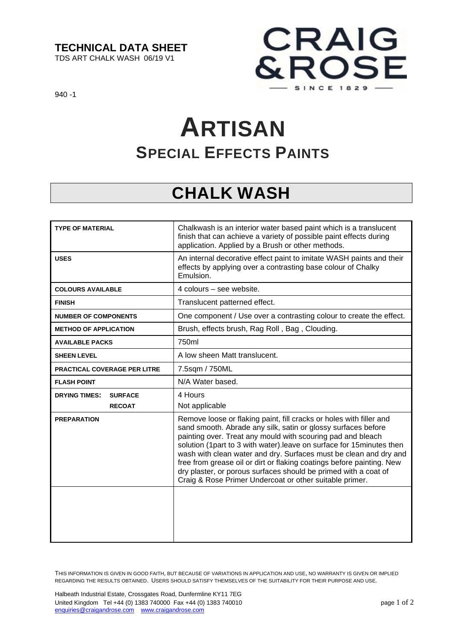#### **TECHNICAL DATA SHEET**

TDS ART CHALK WASH 06/19 V1



940 -1

# **ARTISAN SPECIAL EFFECTS PAINTS**

### **CHALK WASH**

| <b>TYPE OF MATERIAL</b>                | Chalkwash is an interior water based paint which is a translucent<br>finish that can achieve a variety of possible paint effects during<br>application. Applied by a Brush or other methods.                                                                                                                                                                                                                                                                                                                                                             |
|----------------------------------------|----------------------------------------------------------------------------------------------------------------------------------------------------------------------------------------------------------------------------------------------------------------------------------------------------------------------------------------------------------------------------------------------------------------------------------------------------------------------------------------------------------------------------------------------------------|
| <b>USES</b>                            | An internal decorative effect paint to imitate WASH paints and their<br>effects by applying over a contrasting base colour of Chalky<br>Emulsion.                                                                                                                                                                                                                                                                                                                                                                                                        |
| <b>COLOURS AVAILABLE</b>               | 4 colours – see website.                                                                                                                                                                                                                                                                                                                                                                                                                                                                                                                                 |
| <b>FINISH</b>                          | Translucent patterned effect.                                                                                                                                                                                                                                                                                                                                                                                                                                                                                                                            |
| <b>NUMBER OF COMPONENTS</b>            | One component / Use over a contrasting colour to create the effect.                                                                                                                                                                                                                                                                                                                                                                                                                                                                                      |
| <b>METHOD OF APPLICATION</b>           | Brush, effects brush, Rag Roll, Bag, Clouding.                                                                                                                                                                                                                                                                                                                                                                                                                                                                                                           |
| <b>AVAILABLE PACKS</b>                 | 750ml                                                                                                                                                                                                                                                                                                                                                                                                                                                                                                                                                    |
| <b>SHEEN LEVEL</b>                     | A low sheen Matt translucent.                                                                                                                                                                                                                                                                                                                                                                                                                                                                                                                            |
| <b>PRACTICAL COVERAGE PER LITRE</b>    | 7.5sqm / 750ML                                                                                                                                                                                                                                                                                                                                                                                                                                                                                                                                           |
| <b>FLASH POINT</b>                     | N/A Water based.                                                                                                                                                                                                                                                                                                                                                                                                                                                                                                                                         |
| <b>DRYING TIMES:</b><br><b>SURFACE</b> | 4 Hours                                                                                                                                                                                                                                                                                                                                                                                                                                                                                                                                                  |
| <b>RECOAT</b>                          | Not applicable                                                                                                                                                                                                                                                                                                                                                                                                                                                                                                                                           |
| <b>PREPARATION</b>                     | Remove loose or flaking paint, fill cracks or holes with filler and<br>sand smooth. Abrade any silk, satin or glossy surfaces before<br>painting over. Treat any mould with scouring pad and bleach<br>solution (1part to 3 with water). leave on surface for 15minutes then<br>wash with clean water and dry. Surfaces must be clean and dry and<br>free from grease oil or dirt or flaking coatings before painting. New<br>dry plaster, or porous surfaces should be primed with a coat of<br>Craig & Rose Primer Undercoat or other suitable primer. |
|                                        |                                                                                                                                                                                                                                                                                                                                                                                                                                                                                                                                                          |

THIS INFORMATION IS GIVEN IN GOOD FAITH, BUT BECAUSE OF VARIATIONS IN APPLICATION AND USE, NO WARRANTY IS GIVEN OR IMPLIED REGARDING THE RESULTS OBTAINED. USERS SHOULD SATISFY THEMSELVES OF THE SUITABILITY FOR THEIR PURPOSE AND USE.